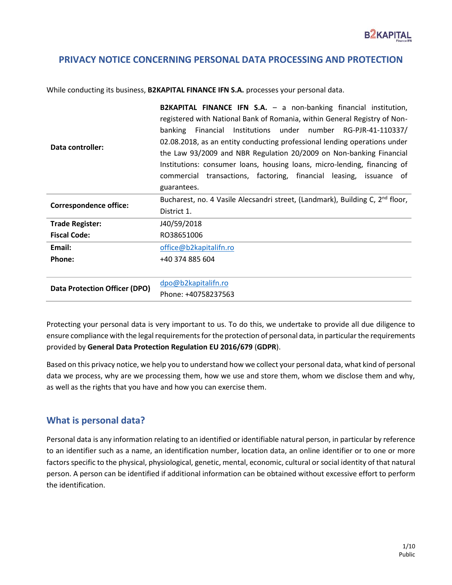### **PRIVACY NOTICE CONCERNING PERSONAL DATA PROCESSING AND PROTECTION**

While conducting its business, **B2KAPITAL FINANCE IFN S.A.** processes your personal data.

| Data controller:                     | <b>B2KAPITAL FINANCE IFN S.A.</b> - a non-banking financial institution,<br>registered with National Bank of Romania, within General Registry of Non-<br>Institutions under number RG-PJR-41-110337/<br>banking<br>Financial<br>02.08.2018, as an entity conducting professional lending operations under<br>the Law 93/2009 and NBR Regulation 20/2009 on Non-banking Financial<br>Institutions: consumer loans, housing loans, micro-lending, financing of<br>commercial transactions, factoring, financial leasing, issuance of<br>guarantees. |
|--------------------------------------|---------------------------------------------------------------------------------------------------------------------------------------------------------------------------------------------------------------------------------------------------------------------------------------------------------------------------------------------------------------------------------------------------------------------------------------------------------------------------------------------------------------------------------------------------|
| <b>Correspondence office:</b>        | Bucharest, no. 4 Vasile Alecsandri street, (Landmark), Building C, 2 <sup>nd</sup> floor,<br>District 1.                                                                                                                                                                                                                                                                                                                                                                                                                                          |
| <b>Trade Register:</b>               | J40/59/2018                                                                                                                                                                                                                                                                                                                                                                                                                                                                                                                                       |
| <b>Fiscal Code:</b>                  | RO38651006                                                                                                                                                                                                                                                                                                                                                                                                                                                                                                                                        |
| Email:                               | office@b2kapitalifn.ro                                                                                                                                                                                                                                                                                                                                                                                                                                                                                                                            |
| Phone:                               | +40 374 885 604                                                                                                                                                                                                                                                                                                                                                                                                                                                                                                                                   |
|                                      |                                                                                                                                                                                                                                                                                                                                                                                                                                                                                                                                                   |
| <b>Data Protection Officer (DPO)</b> | dpo@b2kapitalifn.ro                                                                                                                                                                                                                                                                                                                                                                                                                                                                                                                               |
|                                      | Phone: +40758237563                                                                                                                                                                                                                                                                                                                                                                                                                                                                                                                               |

Protecting your personal data is very important to us. To do this, we undertake to provide all due diligence to ensure compliance with the legal requirements for the protection of personal data, in particular the requirements provided by **General Data Protection Regulation EU 2016/679** (**GDPR**).

Based on this privacy notice, we help you to understand how we collect your personal data, what kind of personal data we process, why are we processing them, how we use and store them, whom we disclose them and why, as well as the rights that you have and how you can exercise them.

### **What is personal data?**

Personal data is any information relating to an identified or identifiable natural person, in particular by reference to an identifier such as a name, an identification number, location data, an online identifier or to one or more factors specific to the physical, physiological, genetic, mental, economic, cultural or social identity of that natural person. A person can be identified if additional information can be obtained without excessive effort to perform the identification.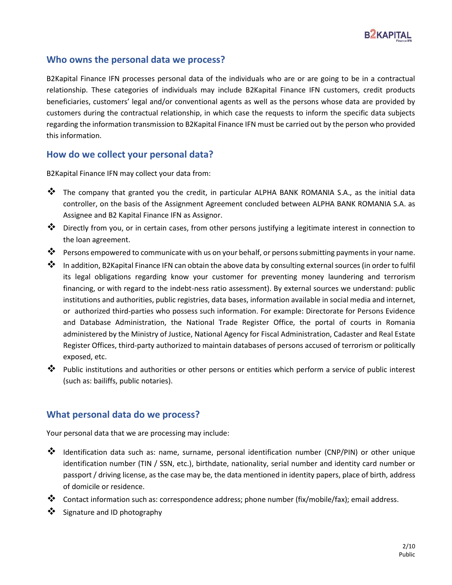

## **Who owns the personal data we process?**

B2Kapital Finance IFN processes personal data of the individuals who are or are going to be in a contractual relationship. These categories of individuals may include B2Kapital Finance IFN customers, credit products beneficiaries, customers' legal and/or conventional agents as well as the persons whose data are provided by customers during the contractual relationship, in which case the requests to inform the specific data subjects regarding the information transmission to B2Kapital Finance IFN must be carried out by the person who provided this information.

## **How do we collect your personal data?**

B2Kapital Finance IFN may collect your data from:

- ❖ The company that granted you the credit, in particular ALPHA BANK ROMANIA S.A., as the initial data controller, on the basis of the Assignment Agreement concluded between ALPHA BANK ROMANIA S.A. as Assignee and B2 Kapital Finance IFN as Assignor.
- ❖ Directly from you, or in certain cases, from other persons justifying a legitimate interest in connection to the loan agreement.
- ❖ Persons empowered to communicate with us on your behalf, or persons submitting payments in your name.
- ❖ In addition, B2Kapital Finance IFN can obtain the above data by consulting external sources (in order to fulfil its legal obligations regarding know your customer for preventing money laundering and terrorism financing, or with regard to the indebt-ness ratio assessment). By external sources we understand: public institutions and authorities, public registries, data bases, information available in social media and internet, or authorized third-parties who possess such information. For example: Directorate for Persons Evidence and Database Administration, the National Trade Register Office, the portal of courts in Romania administered by the Ministry of Justice, National Agency for Fiscal Administration, Cadaster and Real Estate Register Offices, third-party authorized to maintain databases of persons accused of terrorism or politically exposed, etc.
- ❖ Public institutions and authorities or other persons or entities which perform a service of public interest (such as: bailiffs, public notaries).

### **What personal data do we process?**

Your personal data that we are processing may include:

- ❖ Identification data such as: name, surname, personal identification number (CNP/PIN) or other unique identification number (TIN / SSN, etc.), birthdate, nationality, serial number and identity card number or passport / driving license, as the case may be, the data mentioned in identity papers, place of birth, address of domicile or residence.
- ❖ Contact information such as: correspondence address; phone number (fix/mobile/fax); email address.
- ❖ Signature and ID photography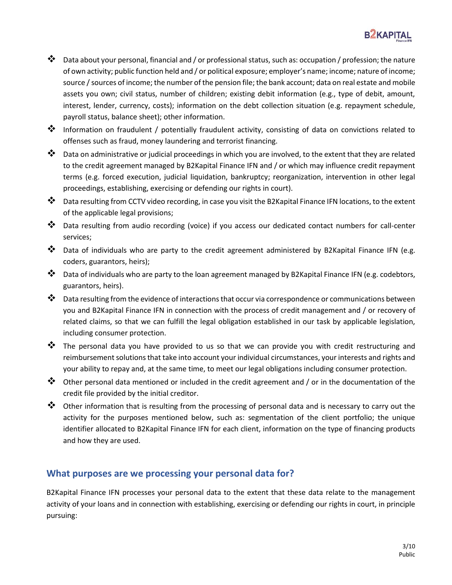

- ❖ Data about your personal, financial and / or professional status, such as: occupation / profession; the nature of own activity; public function held and / or political exposure; employer's name; income; nature of income; source / sources of income; the number of the pension file; the bank account; data on real estate and mobile assets you own; civil status, number of children; existing debit information (e.g., type of debit, amount, interest, lender, currency, costs); information on the debt collection situation (e.g. repayment schedule, payroll status, balance sheet); other information.
- ❖ Information on fraudulent / potentially fraudulent activity, consisting of data on convictions related to offenses such as fraud, money laundering and terrorist financing.
- ❖ Data on administrative or judicial proceedings in which you are involved, to the extent that they are related to the credit agreement managed by B2Kapital Finance IFN and / or which may influence credit repayment terms (e.g. forced execution, judicial liquidation, bankruptcy; reorganization, intervention in other legal proceedings, establishing, exercising or defending our rights in court).
- ❖ Data resulting from CCTV video recording, in case you visit the B2Kapital Finance IFN locations, to the extent of the applicable legal provisions;
- ❖ Data resulting from audio recording (voice) if you access our dedicated contact numbers for call-center services;
- ❖ Data of individuals who are party to the credit agreement administered by B2Kapital Finance IFN (e.g. coders, guarantors, heirs);
- ❖ Data of individuals who are party to the loan agreement managed by B2Kapital Finance IFN (e.g. codebtors, guarantors, heirs).
- ❖ Data resulting from the evidence of interactions that occur via correspondence or communications between you and B2Kapital Finance IFN in connection with the process of credit management and / or recovery of related claims, so that we can fulfill the legal obligation established in our task by applicable legislation, including consumer protection.
- ❖ The personal data you have provided to us so that we can provide you with credit restructuring and reimbursement solutions that take into account your individual circumstances, your interests and rights and your ability to repay and, at the same time, to meet our legal obligations including consumer protection.
- ❖ Other personal data mentioned or included in the credit agreement and / or in the documentation of the credit file provided by the initial creditor.
- ❖ Other information that is resulting from the processing of personal data and is necessary to carry out the activity for the purposes mentioned below, such as: segmentation of the client portfolio; the unique identifier allocated to B2Kapital Finance IFN for each client, information on the type of financing products and how they are used.

### **What purposes are we processing your personal data for?**

B2Kapital Finance IFN processes your personal data to the extent that these data relate to the management activity of your loans and in connection with establishing, exercising or defending our rights in court, in principle pursuing: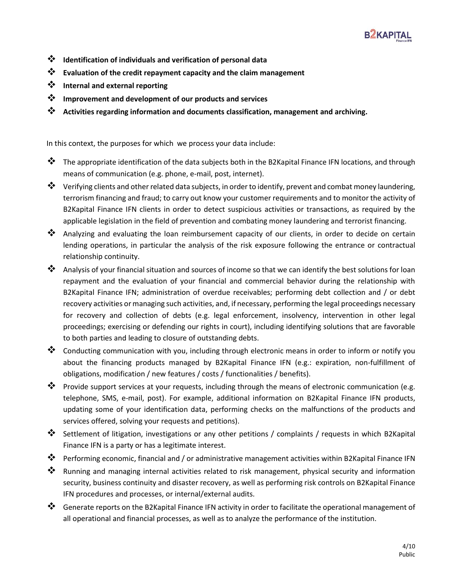

- ❖ **Identification of individuals and verification of personal data**
- ❖ **Evaluation of the credit repayment capacity and the claim management**
- ❖ **Internal and external reporting**
- ❖ **Improvement and development of our products and services**
- ❖ **Activities regarding information and documents classification, management and archiving.**

In this context, the purposes for which we process your data include:

- ❖ The appropriate identification of the data subjects both in the B2Kapital Finance IFN locations, and through means of communication (e.g. phone, e-mail, post, internet).
- ❖ Verifying clients and other related data subjects, in order to identify, prevent and combat money laundering, terrorism financing and fraud; to carry out know your customer requirements and to monitor the activity of B2Kapital Finance IFN clients in order to detect suspicious activities or transactions, as required by the applicable legislation in the field of prevention and combating money laundering and terrorist financing.
- ❖ Analyzing and evaluating the loan reimbursement capacity of our clients, in order to decide on certain lending operations, in particular the analysis of the risk exposure following the entrance or contractual relationship continuity.
- ❖ Analysis of your financial situation and sources of income so that we can identify the best solutions for loan repayment and the evaluation of your financial and commercial behavior during the relationship with B2Kapital Finance IFN; administration of overdue receivables; performing debt collection and / or debt recovery activities or managing such activities, and, if necessary, performing the legal proceedings necessary for recovery and collection of debts (e.g. legal enforcement, insolvency, intervention in other legal proceedings; exercising or defending our rights in court), including identifying solutions that are favorable to both parties and leading to closure of outstanding debts.
- ❖ Conducting communication with you, including through electronic means in order to inform or notify you about the financing products managed by B2Kapital Finance IFN (e.g.: expiration, non-fulfillment of obligations, modification / new features / costs / functionalities / benefits).
- ❖ Provide support services at your requests, including through the means of electronic communication (e.g. telephone, SMS, e-mail, post). For example, additional information on B2Kapital Finance IFN products, updating some of your identification data, performing checks on the malfunctions of the products and services offered, solving your requests and petitions).
- ❖ Settlement of litigation, investigations or any other petitions / complaints / requests in which B2Kapital Finance IFN is a party or has a legitimate interest.
- ❖ Performing economic, financial and / or administrative management activities within B2Kapital Finance IFN
- ❖ Running and managing internal activities related to risk management, physical security and information security, business continuity and disaster recovery, as well as performing risk controls on B2Kapital Finance IFN procedures and processes, or internal/external audits.
- ❖ Generate reports on the B2Kapital Finance IFN activity in order to facilitate the operational management of all operational and financial processes, as well as to analyze the performance of the institution.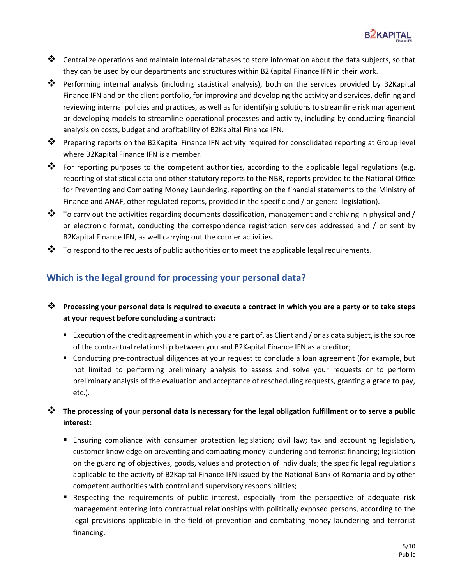

- ❖ Centralize operations and maintain internal databases to store information about the data subjects, so that they can be used by our departments and structures within B2Kapital Finance IFN in their work.
- ❖ Performing internal analysis (including statistical analysis), both on the services provided by B2Kapital Finance IFN and on the client portfolio, for improving and developing the activity and services, defining and reviewing internal policies and practices, as well as for identifying solutions to streamline risk management or developing models to streamline operational processes and activity, including by conducting financial analysis on costs, budget and profitability of B2Kapital Finance IFN.
- ❖ Preparing reports on the B2Kapital Finance IFN activity required for consolidated reporting at Group level where B2Kapital Finance IFN is a member.
- ❖ For reporting purposes to the competent authorities, according to the applicable legal regulations (e.g. reporting of statistical data and other statutory reports to the NBR, reports provided to the National Office for Preventing and Combating Money Laundering, reporting on the financial statements to the Ministry of Finance and ANAF, other regulated reports, provided in the specific and / or general legislation).
- ❖ To carry out the activities regarding documents classification, management and archiving in physical and / or electronic format, conducting the correspondence registration services addressed and / or sent by B2Kapital Finance IFN, as well carrying out the courier activities.
- $\clubsuit$  To respond to the requests of public authorities or to meet the applicable legal requirements.

## **Which is the legal ground for processing your personal data?**

- ❖ **Processing your personal data is required to execute a contract in which you are a party or to take steps at your request before concluding a contract:**
	- Execution of the credit agreement in which you are part of, as Client and / or as data subject, is the source of the contractual relationship between you and B2Kapital Finance IFN as a creditor;
	- Conducting pre-contractual diligences at your request to conclude a loan agreement (for example, but not limited to performing preliminary analysis to assess and solve your requests or to perform preliminary analysis of the evaluation and acceptance of rescheduling requests, granting a grace to pay, etc.).

## ❖ **The processing of your personal data is necessary for the legal obligation fulfillment or to serve a public interest:**

- Ensuring compliance with consumer protection legislation; civil law; tax and accounting legislation, customer knowledge on preventing and combating money laundering and terrorist financing; legislation on the guarding of objectives, goods, values and protection of individuals; the specific legal regulations applicable to the activity of B2Kapital Finance IFN issued by the National Bank of Romania and by other competent authorities with control and supervisory responsibilities;
- Respecting the requirements of public interest, especially from the perspective of adequate risk management entering into contractual relationships with politically exposed persons, according to the legal provisions applicable in the field of prevention and combating money laundering and terrorist financing.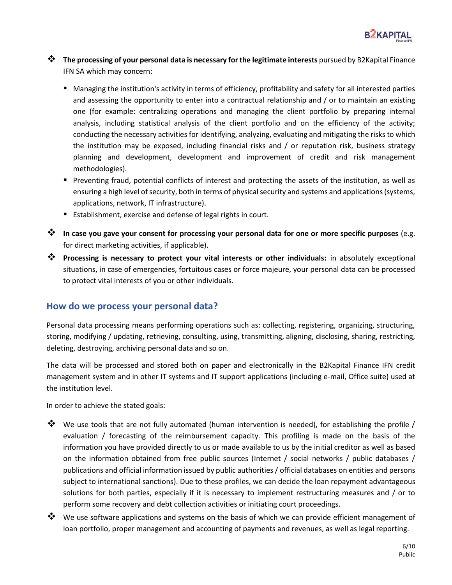

- ❖ **The processing of your personal data is necessary for the legitimate interests** pursued by B2Kapital Finance IFN SA which may concern:
	- Managing the institution's activity in terms of efficiency, profitability and safety for all interested parties and assessing the opportunity to enter into a contractual relationship and / or to maintain an existing one (for example: centralizing operations and managing the client portfolio by preparing internal analysis, including statistical analysis of the client portfolio and on the efficiency of the activity; conducting the necessary activities for identifying, analyzing, evaluating and mitigating the risks to which the institution may be exposed, including financial risks and / or reputation risk, business strategy planning and development, development and improvement of credit and risk management methodologies).
	- Preventing fraud, potential conflicts of interest and protecting the assets of the institution, as well as ensuring a high level of security, both in terms of physical security and systems and applications (systems, applications, network, IT infrastructure).
	- Establishment, exercise and defense of legal rights in court.
- ❖ **In case you gave your consent for processing your personal data for one or more specific purposes** (e.g. for direct marketing activities, if applicable).
- ❖ **Processing is necessary to protect your vital interests or other individuals:** in absolutely exceptional situations, in case of emergencies, fortuitous cases or force majeure, your personal data can be processed to protect vital interests of you or other individuals.

### **How do we process your personal data?**

Personal data processing means performing operations such as: collecting, registering, organizing, structuring, storing, modifying / updating, retrieving, consulting, using, transmitting, aligning, disclosing, sharing, restricting, deleting, destroying, archiving personal data and so on.

The data will be processed and stored both on paper and electronically in the B2Kapital Finance IFN credit management system and in other IT systems and IT support applications (including e-mail, Office suite) used at the institution level.

In order to achieve the stated goals:

- ◆ We use tools that are not fully automated (human intervention is needed), for establishing the profile / evaluation / forecasting of the reimbursement capacity. This profiling is made on the basis of the information you have provided directly to us or made available to us by the initial creditor as well as based on the information obtained from free public sources (Internet / social networks / public databases / publications and official information issued by public authorities / official databases on entities and persons subject to international sanctions). Due to these profiles, we can decide the loan repayment advantageous solutions for both parties, especially if it is necessary to implement restructuring measures and / or to perform some recovery and debt collection activities or initiating court proceedings.
- ❖ We use software applications and systems on the basis of which we can provide efficient management of loan portfolio, proper management and accounting of payments and revenues, as well as legal reporting.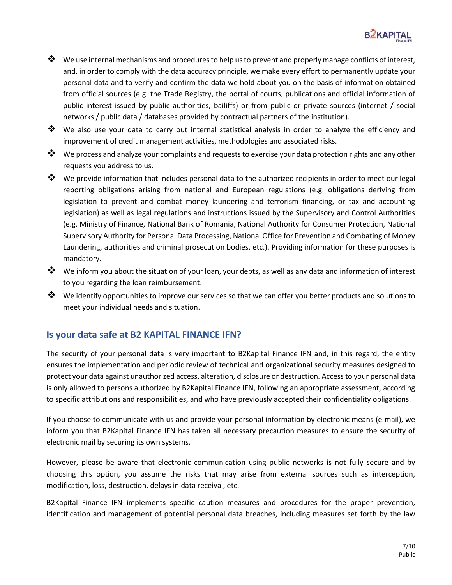

- ❖ We use internal mechanisms and procedures to help us to prevent and properly manage conflicts of interest, and, in order to comply with the data accuracy principle, we make every effort to permanently update your personal data and to verify and confirm the data we hold about you on the basis of information obtained from official sources (e.g. the Trade Registry, the portal of courts, publications and official information of public interest issued by public authorities, bailiffs) or from public or private sources (internet / social networks / public data / databases provided by contractual partners of the institution).
- ❖ We also use your data to carry out internal statistical analysis in order to analyze the efficiency and improvement of credit management activities, methodologies and associated risks.
- ❖ We process and analyze your complaints and requests to exercise your data protection rights and any other requests you address to us.
- ❖ We provide information that includes personal data to the authorized recipients in order to meet our legal reporting obligations arising from national and European regulations (e.g. obligations deriving from legislation to prevent and combat money laundering and terrorism financing, or tax and accounting legislation) as well as legal regulations and instructions issued by the Supervisory and Control Authorities (e.g. Ministry of Finance, National Bank of Romania, National Authority for Consumer Protection, National Supervisory Authority for Personal Data Processing, National Office for Prevention and Combating of Money Laundering, authorities and criminal prosecution bodies, etc.). Providing information for these purposes is mandatory.
- ❖ We inform you about the situation of your loan, your debts, as well as any data and information of interest to you regarding the loan reimbursement.
- ❖ We identify opportunities to improve our services so that we can offer you better products and solutions to meet your individual needs and situation.

### **Is your data safe at B2 KAPITAL FINANCE IFN?**

The security of your personal data is very important to B2Kapital Finance IFN and, in this regard, the entity ensures the implementation and periodic review of technical and organizational security measures designed to protect your data against unauthorized access, alteration, disclosure or destruction. Access to your personal data is only allowed to persons authorized by B2Kapital Finance IFN, following an appropriate assessment, according to specific attributions and responsibilities, and who have previously accepted their confidentiality obligations.

If you choose to communicate with us and provide your personal information by electronic means (e-mail), we inform you that B2Kapital Finance IFN has taken all necessary precaution measures to ensure the security of electronic mail by securing its own systems.

However, please be aware that electronic communication using public networks is not fully secure and by choosing this option, you assume the risks that may arise from external sources such as interception, modification, loss, destruction, delays in data receival, etc.

B2Kapital Finance IFN implements specific caution measures and procedures for the proper prevention, identification and management of potential personal data breaches, including measures set forth by the law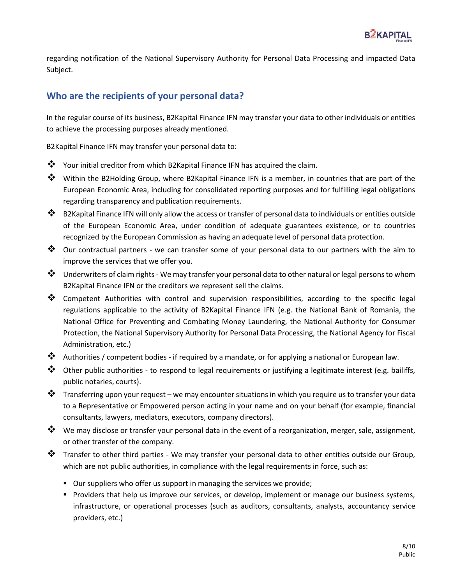regarding notification of the National Supervisory Authority for Personal Data Processing and impacted Data Subject.

## **Who are the recipients of your personal data?**

In the regular course of its business, B2Kapital Finance IFN may transfer your data to other individuals or entities to achieve the processing purposes already mentioned.

B2Kapital Finance IFN may transfer your personal data to:

- ❖ Your initial creditor from which B2Kapital Finance IFN has acquired the claim.
- ❖ Within the B2Holding Group, where B2Kapital Finance IFN is a member, in countries that are part of the European Economic Area, including for consolidated reporting purposes and for fulfilling legal obligations regarding transparency and publication requirements.
- ❖ B2Kapital Finance IFN will only allow the access or transfer of personal data to individuals or entities outside of the European Economic Area, under condition of adequate guarantees existence, or to countries recognized by the European Commission as having an adequate level of personal data protection.
- ❖ Our contractual partners we can transfer some of your personal data to our partners with the aim to improve the services that we offer you.
- ❖ Underwriters of claim rights We may transfer your personal data to other natural or legal persons to whom B2Kapital Finance IFN or the creditors we represent sell the claims.
- ❖ Competent Authorities with control and supervision responsibilities, according to the specific legal regulations applicable to the activity of B2Kapital Finance IFN (e.g. the National Bank of Romania, the National Office for Preventing and Combating Money Laundering, the National Authority for Consumer Protection, the National Supervisory Authority for Personal Data Processing, the National Agency for Fiscal Administration, etc.)
- ❖ Authorities / competent bodies if required by a mandate, or for applying a national or European law.
- ❖ Other public authorities to respond to legal requirements or justifying a legitimate interest (e.g. bailiffs, public notaries, courts).
- ❖ Transferring upon your request we may encounter situations in which you require us to transfer your data to a Representative or Empowered person acting in your name and on your behalf (for example, financial consultants, lawyers, mediators, executors, company directors).
- ❖ We may disclose or transfer your personal data in the event of a reorganization, merger, sale, assignment, or other transfer of the company.
- ❖ Transfer to other third parties We may transfer your personal data to other entities outside our Group, which are not public authorities, in compliance with the legal requirements in force, such as:
	- Our suppliers who offer us support in managing the services we provide;
	- **•** Providers that help us improve our services, or develop, implement or manage our business systems, infrastructure, or operational processes (such as auditors, consultants, analysts, accountancy service providers, etc.)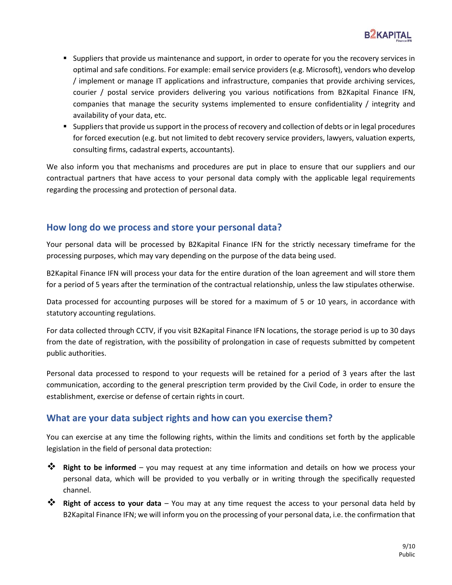

- Suppliers that provide us maintenance and support, in order to operate for you the recovery services in optimal and safe conditions. For example: email service providers (e.g. Microsoft), vendors who develop / implement or manage IT applications and infrastructure, companies that provide archiving services, courier / postal service providers delivering you various notifications from B2Kapital Finance IFN, companies that manage the security systems implemented to ensure confidentiality / integrity and availability of your data, etc.
- Suppliers that provide us support in the process of recovery and collection of debts or in legal procedures for forced execution (e.g. but not limited to debt recovery service providers, lawyers, valuation experts, consulting firms, cadastral experts, accountants).

We also inform you that mechanisms and procedures are put in place to ensure that our suppliers and our contractual partners that have access to your personal data comply with the applicable legal requirements regarding the processing and protection of personal data.

## **How long do we process and store your personal data?**

Your personal data will be processed by B2Kapital Finance IFN for the strictly necessary timeframe for the processing purposes, which may vary depending on the purpose of the data being used.

B2Kapital Finance IFN will process your data for the entire duration of the loan agreement and will store them for a period of 5 years after the termination of the contractual relationship, unless the law stipulates otherwise.

Data processed for accounting purposes will be stored for a maximum of 5 or 10 years, in accordance with statutory accounting regulations.

For data collected through CCTV, if you visit B2Kapital Finance IFN locations, the storage period is up to 30 days from the date of registration, with the possibility of prolongation in case of requests submitted by competent public authorities.

Personal data processed to respond to your requests will be retained for a period of 3 years after the last communication, according to the general prescription term provided by the Civil Code, in order to ensure the establishment, exercise or defense of certain rights in court.

## **What are your data subject rights and how can you exercise them?**

You can exercise at any time the following rights, within the limits and conditions set forth by the applicable legislation in the field of personal data protection:

- ❖ **Right to be informed**  you may request at any time information and details on how we process your personal data, which will be provided to you verbally or in writing through the specifically requested channel.
- ❖ **Right of access to your data** You may at any time request the access to your personal data held by B2Kapital Finance IFN; we will inform you on the processing of your personal data, i.e. the confirmation that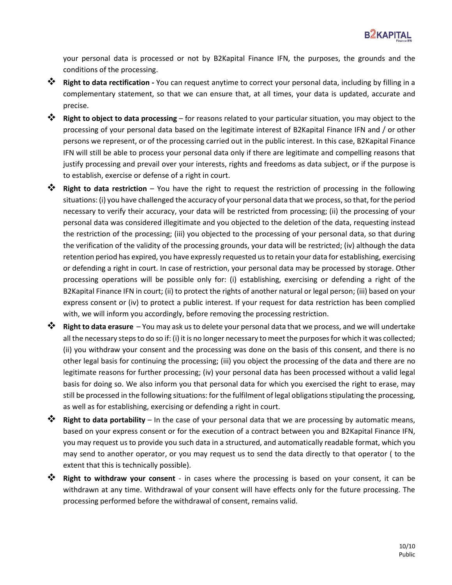your personal data is processed or not by B2Kapital Finance IFN, the purposes, the grounds and the conditions of the processing.

- ❖ **Right to data rectification -** You can request anytime to correct your personal data, including by filling in a complementary statement, so that we can ensure that, at all times, your data is updated, accurate and precise.
- ❖ **Right to object to data processing**  for reasons related to your particular situation, you may object to the processing of your personal data based on the legitimate interest of B2Kapital Finance IFN and / or other persons we represent, or of the processing carried out in the public interest. In this case, B2Kapital Finance IFN will still be able to process your personal data only if there are legitimate and compelling reasons that justify processing and prevail over your interests, rights and freedoms as data subject, or if the purpose is to establish, exercise or defense of a right in court.
- ❖ **Right to data restriction**  You have the right to request the restriction of processing in the following situations: (i) you have challenged the accuracy of your personal data that we process, so that, for the period necessary to verify their accuracy, your data will be restricted from processing; (ii) the processing of your personal data was considered illegitimate and you objected to the deletion of the data, requesting instead the restriction of the processing; (iii) you objected to the processing of your personal data, so that during the verification of the validity of the processing grounds, your data will be restricted; (iv) although the data retention period has expired, you have expressly requested us to retain your data for establishing, exercising or defending a right in court. In case of restriction, your personal data may be processed by storage. Other processing operations will be possible only for: (i) establishing, exercising or defending a right of the B2Kapital Finance IFN in court; (ii) to protect the rights of another natural or legal person; (iii) based on your express consent or (iv) to protect a public interest. If your request for data restriction has been complied with, we will inform you accordingly, before removing the processing restriction.
- ❖ **Right to data erasure**  You may ask us to delete your personal data that we process, and we will undertake all the necessary steps to do so if: (i) it is no longer necessary to meet the purposes for which it was collected; (ii) you withdraw your consent and the processing was done on the basis of this consent, and there is no other legal basis for continuing the processing; (iii) you object the processing of the data and there are no legitimate reasons for further processing; (iv) your personal data has been processed without a valid legal basis for doing so. We also inform you that personal data for which you exercised the right to erase, may still be processed in the following situations: for the fulfilment of legal obligations stipulating the processing, as well as for establishing, exercising or defending a right in court.
- ❖ **Right to data portability**  In the case of your personal data that we are processing by automatic means, based on your express consent or for the execution of a contract between you and B2Kapital Finance IFN, you may request us to provide you such data in a structured, and automatically readable format, which you may send to another operator, or you may request us to send the data directly to that operator ( to the extent that this is technically possible).
- ❖ **Right to withdraw your consent** in cases where the processing is based on your consent, it can be withdrawn at any time. Withdrawal of your consent will have effects only for the future processing. The processing performed before the withdrawal of consent, remains valid.